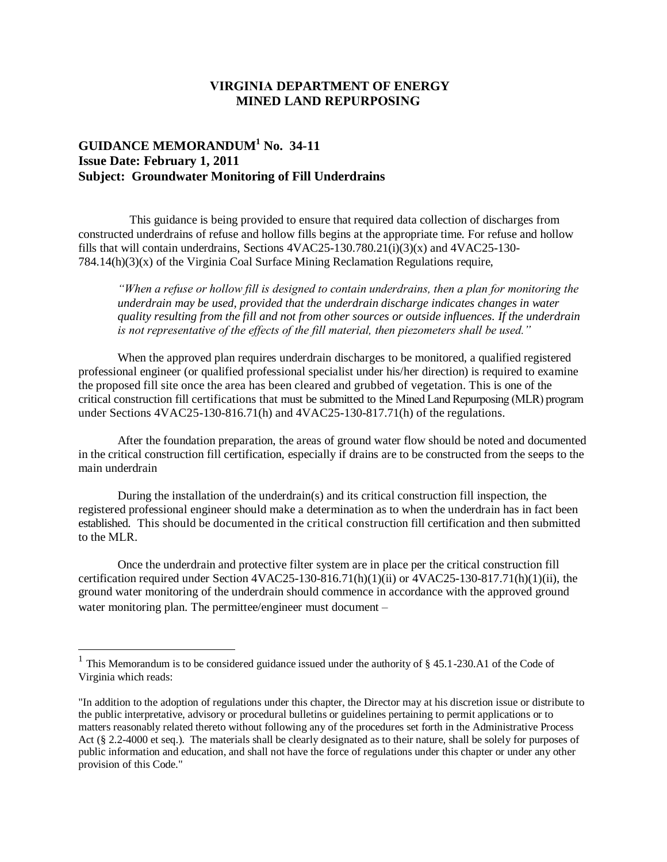## **VIRGINIA DEPARTMENT OF ENERGY MINED LAND REPURPOSING**

## **GUIDANCE MEMORANDUM<sup>1</sup> No. 34-11 Issue Date: February 1, 2011 Subject: Groundwater Monitoring of Fill Underdrains**

 This guidance is being provided to ensure that required data collection of discharges from constructed underdrains of refuse and hollow fills begins at the appropriate time. For refuse and hollow fills that will contain underdrains, Sections 4VAC25-130.780.21(i)(3)(x) and 4VAC25-130- 784.14(h)(3)(x) of the Virginia Coal Surface Mining Reclamation Regulations require,

*"When a refuse or hollow fill is designed to contain underdrains, then a plan for monitoring the underdrain may be used, provided that the underdrain discharge indicates changes in water quality resulting from the fill and not from other sources or outside influences. If the underdrain is not representative of the effects of the fill material, then piezometers shall be used."*

When the approved plan requires underdrain discharges to be monitored, a qualified registered professional engineer (or qualified professional specialist under his/her direction) is required to examine the proposed fill site once the area has been cleared and grubbed of vegetation. This is one of the critical construction fill certifications that must be submitted to the Mined Land Repurposing (MLR) program under Sections 4VAC25-130-816.71(h) and 4VAC25-130-817.71(h) of the regulations.

After the foundation preparation, the areas of ground water flow should be noted and documented in the critical construction fill certification, especially if drains are to be constructed from the seeps to the main underdrain

During the installation of the underdrain(s) and its critical construction fill inspection, the registered professional engineer should make a determination as to when the underdrain has in fact been established. This should be documented in the critical construction fill certification and then submitted to the MLR.

Once the underdrain and protective filter system are in place per the critical construction fill certification required under Section 4VAC25-130-816.71(h)(1)(ii) or 4VAC25-130-817.71(h)(1)(ii), the ground water monitoring of the underdrain should commence in accordance with the approved ground water monitoring plan. The permittee/engineer must document –

<sup>&</sup>lt;sup>1</sup> This Memorandum is to be considered guidance issued under the authority of  $\S$  45.1-230.A1 of the Code of Virginia which reads:

<sup>&</sup>quot;In addition to the adoption of regulations under this chapter, the Director may at his discretion issue or distribute to the public interpretative, advisory or procedural bulletins or guidelines pertaining to permit applications or to matters reasonably related thereto without following any of the procedures set forth in the Administrative Process Act (§ 2.2-4000 et seq.). The materials shall be clearly designated as to their nature, shall be solely for purposes of public information and education, and shall not have the force of regulations under this chapter or under any other provision of this Code."